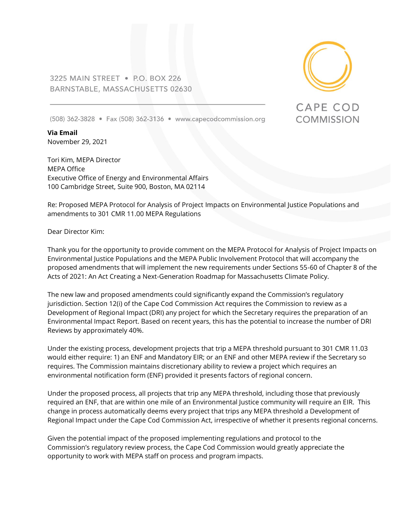3225 MAIN STREET . P.O. BOX 226 BARNSTABLE, MASSACHUSETTS 02630



**CAPE COD** 

**COMMISSION** 

(508) 362-3828 • Fax (508) 362-3136 • www.capecodcommission.org

**Via Email** November 29, 2021

Tori Kim, MEPA Director MEPA Office Executive Office of Energy and Environmental Affairs 100 Cambridge Street, Suite 900, Boston, MA 02114

Re: Proposed MEPA Protocol for Analysis of Project Impacts on Environmental Justice Populations and amendments to 301 CMR 11.00 MEPA Regulations

Dear Director Kim:

Thank you for the opportunity to provide comment on the MEPA Protocol for Analysis of Project Impacts on Environmental Justice Populations and the MEPA Public Involvement Protocol that will accompany the proposed amendments that will implement the new requirements under Sections 55-60 of Chapter 8 of the Acts of 2021: An Act Creating a Next-Generation Roadmap for Massachusetts Climate Policy.

The new law and proposed amendments could significantly expand the Commission's regulatory jurisdiction. Section 12(i) of the Cape Cod Commission Act requires the Commission to review as a Development of Regional Impact (DRI) any project for which the Secretary requires the preparation of an Environmental Impact Report. Based on recent years, this has the potential to increase the number of DRI Reviews by approximately 40%.

Under the existing process, development projects that trip a MEPA threshold pursuant to 301 CMR 11.03 would either require: 1) an ENF and Mandatory EIR; or an ENF and other MEPA review if the Secretary so requires. The Commission maintains discretionary ability to review a project which requires an environmental notification form (ENF) provided it presents factors of regional concern.

Under the proposed process, all projects that trip any MEPA threshold, including those that previously required an ENF, that are within one mile of an Environmental Justice community will require an EIR. This change in process automatically deems every project that trips any MEPA threshold a Development of Regional Impact under the Cape Cod Commission Act, irrespective of whether it presents regional concerns.

Given the potential impact of the proposed implementing regulations and protocol to the Commission's regulatory review process, the Cape Cod Commission would greatly appreciate the opportunity to work with MEPA staff on process and program impacts.